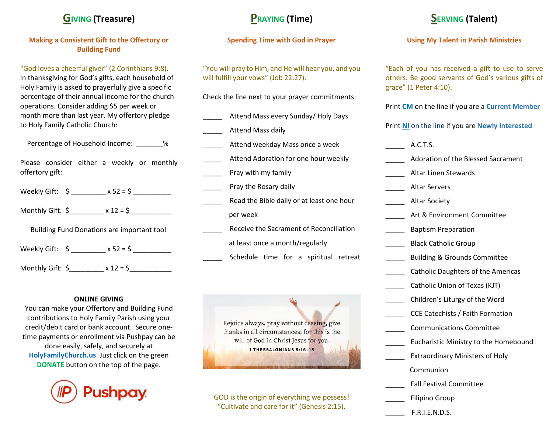### **GIVING (Treasure)**

#### **Making a Consistent Gift to the Offertory or Building Fund**

"God loves a cheerful giver" (2 Corinthians 9:8). In thanksgiving for God's gifts, each household of Holy Family is asked to prayerfully give a specific percentage of their annual income for the church operations. Consider adding \$5 per week or month more than last year. My offertory pledge to Holy Family Catholic Church:

Percentage of Household Income: \_\_\_\_\_\_\_%

Please consider either a weekly or monthly offertory gift:

| Weekly Gift: \$ | $x 52 = $$ |  |
|-----------------|------------|--|
|                 |            |  |

Monthly Gift: \$\_\_\_\_\_\_\_\_\_ x 12 = \$\_\_\_\_\_\_\_\_\_\_\_

Building Fund Donations are important too!

Weekly Gift:  $\zeta$   $\times$  52 =  $\zeta$ 

Monthly Gift: \$\_\_\_\_\_\_\_\_\_ x 12 = \$\_\_\_\_\_\_\_\_\_\_\_

#### **ONLINE GIVING**

You can make your Offertory and Building Fund contributions to Holy Family Parish using your credit/debit card or bank account. Secure onetime payments or enrollment via Pushpay can be done easily, safely, and securely at **[HolyFamilyChurch.us](http://www.faithdirect.net/)**. Just click on the green **DONATE** button on the top of the page.



# **PRAYING (Time)**

#### **Spending Time with God in Prayer**

"You will pray to Him, and He will hear you, and you will fulfill your vows" (Job 22:27).

Check the line next to your prayer commitments:

- Attend Mass every Sunday/ Holy Days
- Attend Mass daily
- Attend weekday Mass once a week
- Attend Adoration for one hour weekly Pray with my family
- Pray the Rosary daily
- Read the Bible daily or at least one hour per week
- Receive the Sacrament of Reconciliation at least once a month/regularly
	- Schedule time for a spiritual retreat



GOD is the origin of everything we possess! "Cultivate and care for it" (Genesis 2:15).

# **SERVING (Talent)**

#### **Using My Talent in Parish Ministries**

"Each of you has received a gift to use to serve others. Be good servants of God's various gifts of grace" (1 Peter 4:10).

Print **CM** on the line if you are a **Current Member**

Print **NI** on the line if you are **Newly Interested**

| A.C.T.S.                                  |
|-------------------------------------------|
| <b>Adoration of the Blessed Sacrament</b> |
| Altar Linen Stewards                      |
| <b>Altar Servers</b>                      |
| <b>Altar Society</b>                      |
| Art & Environment Committee               |
| <b>Baptism Preparation</b>                |
| <b>Black Catholic Group</b>               |
| <b>Building &amp; Grounds Committee</b>   |
| <b>Catholic Daughters of the Americas</b> |
| Catholic Union of Texas (KJT)             |
| Children's Liturgy of the Word            |
| <b>CCE Catechists / Faith Formation</b>   |
| <b>Communications Committee</b>           |
| Eucharistic Ministry to the Homebound     |
| <b>Extraordinary Ministers of Holy</b>    |
| Communion                                 |
| <b>Fall Festival Committee</b>            |
| <b>Filipino Group</b>                     |
| F.R.I.E.N.D.S.                            |